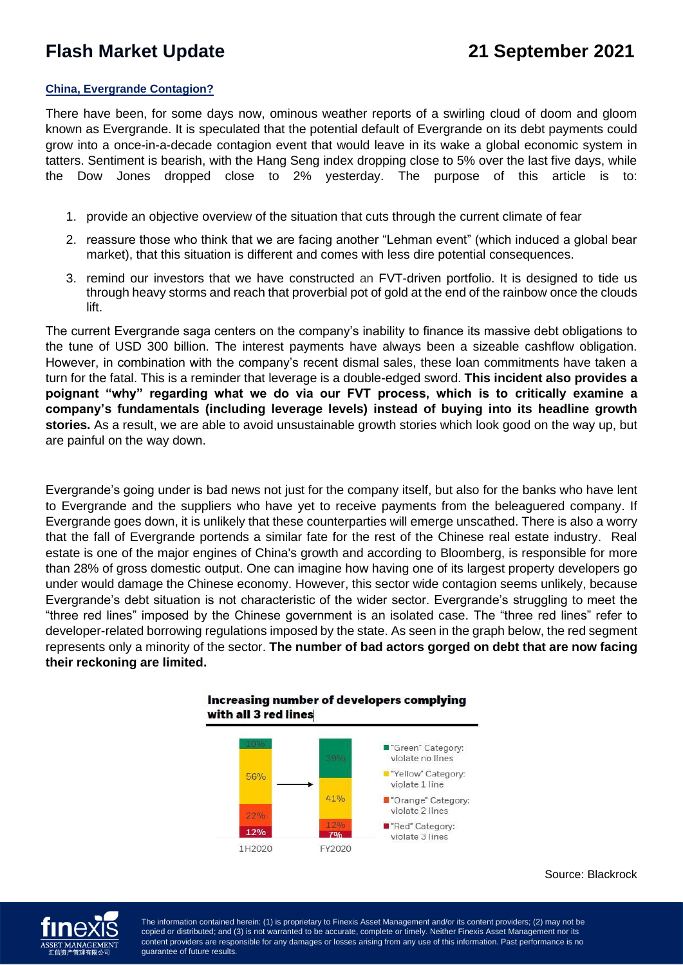## **Flash Market Update 21 September 2021**

## **China, Evergrande Contagion?**

There have been, for some days now, ominous weather reports of a swirling cloud of doom and gloom known as Evergrande. It is speculated that the potential default of Evergrande on its debt payments could grow into a once-in-a-decade contagion event that would leave in its wake a global economic system in tatters. Sentiment is bearish, with the Hang Seng index dropping close to 5% over the last five days, while the Dow Jones dropped close to 2% yesterday. The purpose of this article is to:

- 1. provide an objective overview of the situation that cuts through the current climate of fear
- 2. reassure those who think that we are facing another "Lehman event" (which induced a global bear market), that this situation is different and comes with less dire potential consequences.
- 3. remind our investors that we have constructed an FVT-driven portfolio. It is designed to tide us through heavy storms and reach that proverbial pot of gold at the end of the rainbow once the clouds lift.

The current Evergrande saga centers on the company's inability to finance its massive debt obligations to the tune of USD 300 billion. The interest payments have always been a sizeable cashflow obligation. However, in combination with the company's recent dismal sales, these loan commitments have taken a turn for the fatal. This is a reminder that leverage is a double-edged sword. **This incident also provides a poignant "why" regarding what we do via our FVT process, which is to critically examine a company's fundamentals (including leverage levels) instead of buying into its headline growth stories.** As a result, we are able to avoid unsustainable growth stories which look good on the way up, but are painful on the way down.

Evergrande's going under is bad news not just for the company itself, but also for the banks who have lent to Evergrande and the suppliers who have yet to receive payments from the beleaguered company. If Evergrande goes down, it is unlikely that these counterparties will emerge unscathed. There is also a worry that the fall of Evergrande portends a similar fate for the rest of the Chinese real estate industry. Real estate is one of the major engines of China's growth and according to Bloomberg, is responsible for more than 28% of gross domestic output. One can imagine how having one of its largest property developers go under would damage the Chinese economy. However, this sector wide contagion seems unlikely, because Evergrande's debt situation is not characteristic of the wider sector. Evergrande's struggling to meet the "three red lines" imposed by the Chinese government is an isolated case. The "three red lines" refer to developer-related borrowing regulations imposed by the state. As seen in the graph below, the red segment represents only a minority of the sector. **The number of bad actors gorged on debt that are now facing their reckoning are limited.**



Increasing number of developers complying with all 3 red lines

Source: Blackrock



copied or distributed; and (3) is not warranted to be accurate, complete or timely. Neither Finexis Asset Management nor its  $\epsilon$  is not warranted to be accurated to be accurated to be accurated to be accurated to be accurated to be accurated to be accurated to be accurated to be accurated to be accurated to be accurated to be accurated to be a content providers are responsible for any damages or losses arising from any use of this information. Past performance is no<br>quarantee of future results The information contained herein: (1) is proprietary to Finexis Asset Management and/or its content providers; (2) may not be guarantee of future results.